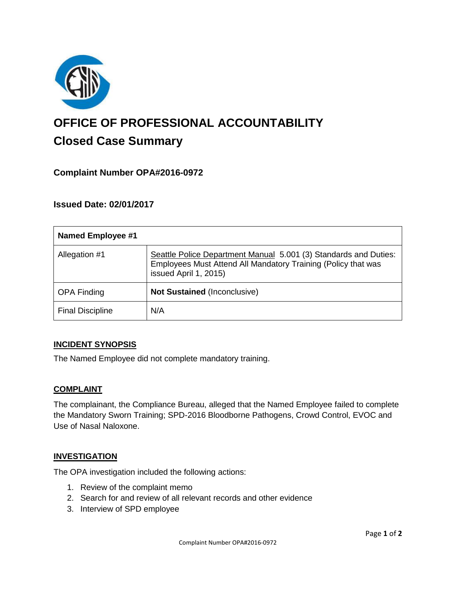

# **OFFICE OF PROFESSIONAL ACCOUNTABILITY Closed Case Summary**

# **Complaint Number OPA#2016-0972**

# **Issued Date: 02/01/2017**

| <b>Named Employee #1</b> |                                                                                                                                                            |
|--------------------------|------------------------------------------------------------------------------------------------------------------------------------------------------------|
| Allegation #1            | Seattle Police Department Manual 5.001 (3) Standards and Duties:<br>Employees Must Attend All Mandatory Training (Policy that was<br>issued April 1, 2015) |
| <b>OPA Finding</b>       | Not Sustained (Inconclusive)                                                                                                                               |
| <b>Final Discipline</b>  | N/A                                                                                                                                                        |

#### **INCIDENT SYNOPSIS**

The Named Employee did not complete mandatory training.

#### **COMPLAINT**

The complainant, the Compliance Bureau, alleged that the Named Employee failed to complete the Mandatory Sworn Training; SPD-2016 Bloodborne Pathogens, Crowd Control, EVOC and Use of Nasal Naloxone.

#### **INVESTIGATION**

The OPA investigation included the following actions:

- 1. Review of the complaint memo
- 2. Search for and review of all relevant records and other evidence
- 3. Interview of SPD employee